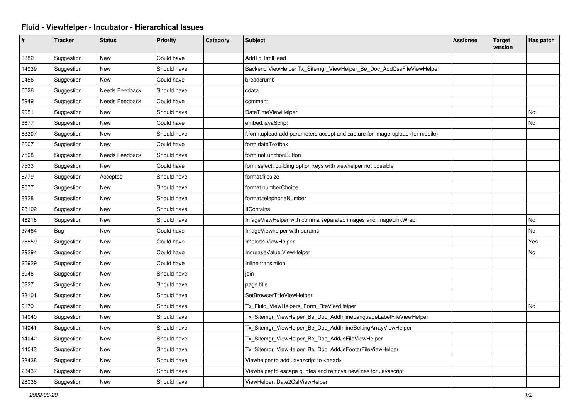## **Fluid - ViewHelper - Incubator - Hierarchical Issues**

| #     | <b>Tracker</b> | <b>Status</b>  | <b>Priority</b> | Category | <b>Subject</b>                                                                | Assignee | <b>Target</b><br>version | Has patch |
|-------|----------------|----------------|-----------------|----------|-------------------------------------------------------------------------------|----------|--------------------------|-----------|
| 8882  | Suggestion     | <b>New</b>     | Could have      |          | AddToHtmlHead                                                                 |          |                          |           |
| 14039 | Suggestion     | <b>New</b>     | Should have     |          | Backend ViewHelper Tx Sitemgr ViewHelper Be Doc AddCssFileViewHelper          |          |                          |           |
| 9486  | Suggestion     | <b>New</b>     | Could have      |          | breadcrumb                                                                    |          |                          |           |
| 6526  | Suggestion     | Needs Feedback | Should have     |          | cdata                                                                         |          |                          |           |
| 5949  | Suggestion     | Needs Feedback | Could have      |          | comment                                                                       |          |                          |           |
| 9051  | Suggestion     | <b>New</b>     | Should have     |          | DateTimeViewHelper                                                            |          |                          | No        |
| 3677  | Suggestion     | <b>New</b>     | Could have      |          | embed.javaScript                                                              |          |                          | No        |
| 83307 | Suggestion     | New            | Should have     |          | f:form.upload add parameters accept and capture for image-upload (for mobile) |          |                          |           |
| 6007  | Suggestion     | New            | Could have      |          | form.dateTextbox                                                              |          |                          |           |
| 7508  | Suggestion     | Needs Feedback | Should have     |          | form.noFunctionButton                                                         |          |                          |           |
| 7533  | Suggestion     | <b>New</b>     | Could have      |          | form.select: building option keys with viewhelper not possible                |          |                          |           |
| 8779  | Suggestion     | Accepted       | Should have     |          | format.filesize                                                               |          |                          |           |
| 9077  | Suggestion     | New            | Should have     |          | format.numberChoice                                                           |          |                          |           |
| 8828  | Suggestion     | <b>New</b>     | Should have     |          | format.telephoneNumber                                                        |          |                          |           |
| 28102 | Suggestion     | New            | Should have     |          | <b>IfContains</b>                                                             |          |                          |           |
| 46218 | Suggestion     | New            | Should have     |          | ImageViewHelper with comma separated images and imageLinkWrap                 |          |                          | No        |
| 37464 | Bug            | New            | Could have      |          | ImageViewhelper with params                                                   |          |                          | No        |
| 28859 | Suggestion     | New            | Could have      |          | Implode ViewHelper                                                            |          |                          | Yes       |
| 29294 | Suggestion     | New            | Could have      |          | IncreaseValue ViewHelper                                                      |          |                          | No        |
| 26929 | Suggestion     | New            | Could have      |          | Inline translation                                                            |          |                          |           |
| 5948  | Suggestion     | New            | Should have     |          | join                                                                          |          |                          |           |
| 6327  | Suggestion     | New            | Should have     |          | page.title                                                                    |          |                          |           |
| 28101 | Suggestion     | New            | Should have     |          | SetBrowserTitleViewHelper                                                     |          |                          |           |
| 9179  | Suggestion     | New            | Should have     |          | Tx_Fluid_ViewHelpers_Form_RteViewHelper                                       |          |                          | No        |
| 14040 | Suggestion     | <b>New</b>     | Should have     |          | Tx_Sitemgr_ViewHelper_Be_Doc_AddInlineLanguageLabelFileViewHelper             |          |                          |           |
| 14041 | Suggestion     | <b>New</b>     | Should have     |          | Tx_Sitemgr_ViewHelper_Be_Doc_AddInlineSettingArrayViewHelper                  |          |                          |           |
| 14042 | Suggestion     | New            | Should have     |          | Tx_Sitemgr_ViewHelper_Be_Doc_AddJsFileViewHelper                              |          |                          |           |
| 14043 | Suggestion     | New            | Should have     |          | Tx_Sitemgr_ViewHelper_Be_Doc_AddJsFooterFileViewHelper                        |          |                          |           |
| 28438 | Suggestion     | New            | Should have     |          | Viewhelper to add Javascript to <head></head>                                 |          |                          |           |
| 28437 | Suggestion     | <b>New</b>     | Should have     |          | Viewhelper to escape quotes and remove newlines for Javascript                |          |                          |           |
| 28038 | Suggestion     | <b>New</b>     | Should have     |          | ViewHelper: Date2CalViewHelper                                                |          |                          |           |